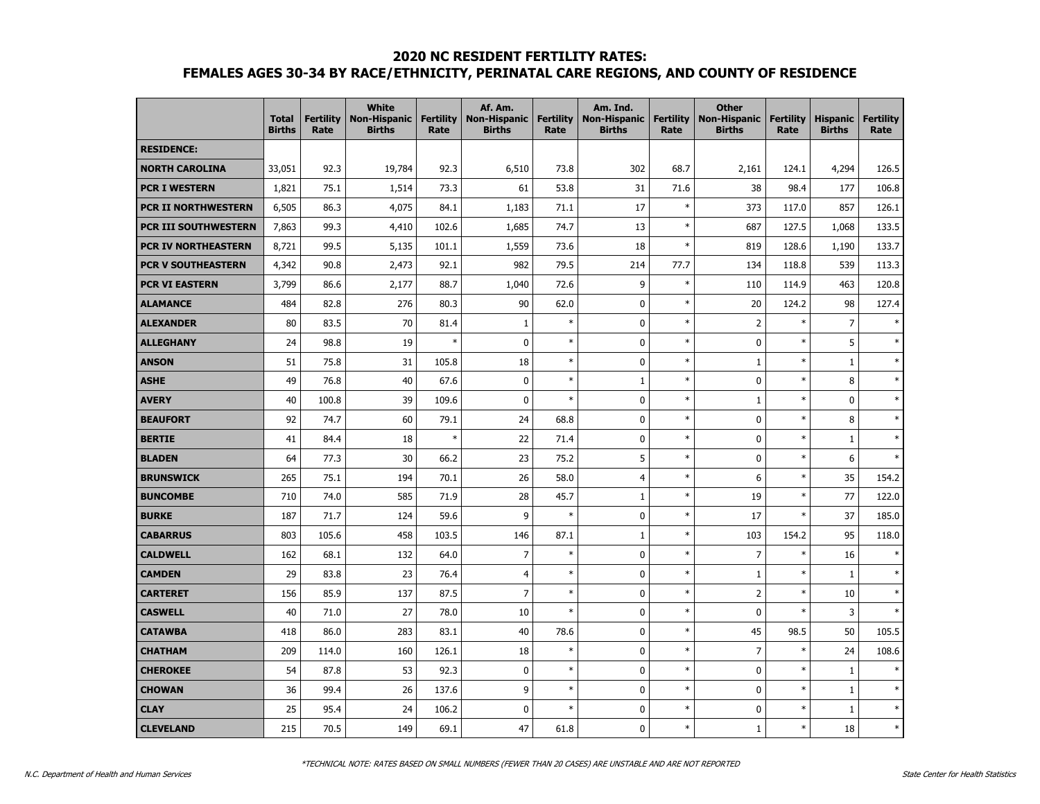#### **2020 NC RESIDENT FERTILITY RATES:**

# **FEMALES AGES 30-34 BY RACE/ETHNICITY, PERINATAL CARE REGIONS, AND COUNTY OF RESIDENCE**

|                             | <b>Total</b><br><b>Births</b> | <b>Fertility</b><br>Rate | <b>White</b><br><b>Non-Hispanic</b><br><b>Births</b> | <b>Fertility</b><br>Rate | Af. Am.<br><b>Non-Hispanic</b><br><b>Births</b> | <b>Fertility</b><br>Rate | Am. Ind.<br><b>Non-Hispanic</b><br><b>Births</b> | <b>Fertility</b><br>Rate | <b>Other</b><br><b>Non-Hispanic</b><br><b>Births</b> | <b>Fertility</b><br>Rate | <b>Hispanic</b><br><b>Births</b> | <b>Fertility</b><br>Rate |
|-----------------------------|-------------------------------|--------------------------|------------------------------------------------------|--------------------------|-------------------------------------------------|--------------------------|--------------------------------------------------|--------------------------|------------------------------------------------------|--------------------------|----------------------------------|--------------------------|
| <b>RESIDENCE:</b>           |                               |                          |                                                      |                          |                                                 |                          |                                                  |                          |                                                      |                          |                                  |                          |
| <b>NORTH CAROLINA</b>       | 33,051                        | 92.3                     | 19,784                                               | 92.3                     | 6,510                                           | 73.8                     | 302                                              | 68.7                     | 2,161                                                | 124.1                    | 4,294                            | 126.5                    |
| <b>PCR I WESTERN</b>        | 1,821                         | 75.1                     | 1,514                                                | 73.3                     | 61                                              | 53.8                     | 31                                               | 71.6                     | 38                                                   | 98.4                     | 177                              | 106.8                    |
| PCR II NORTHWESTERN         | 6,505                         | 86.3                     | 4,075                                                | 84.1                     | 1,183                                           | 71.1                     | 17                                               | $\ast$                   | 373                                                  | 117.0                    | 857                              | 126.1                    |
| <b>PCR III SOUTHWESTERN</b> | 7,863                         | 99.3                     | 4,410                                                | 102.6                    | 1,685                                           | 74.7                     | 13                                               | $\ast$                   | 687                                                  | 127.5                    | 1,068                            | 133.5                    |
| <b>PCR IV NORTHEASTERN</b>  | 8,721                         | 99.5                     | 5,135                                                | 101.1                    | 1,559                                           | 73.6                     | 18                                               | $\ast$                   | 819                                                  | 128.6                    | 1,190                            | 133.7                    |
| <b>PCR V SOUTHEASTERN</b>   | 4,342                         | 90.8                     | 2,473                                                | 92.1                     | 982                                             | 79.5                     | 214                                              | 77.7                     | 134                                                  | 118.8                    | 539                              | 113.3                    |
| <b>PCR VI EASTERN</b>       | 3,799                         | 86.6                     | 2,177                                                | 88.7                     | 1,040                                           | 72.6                     | 9                                                | $\ast$                   | 110                                                  | 114.9                    | 463                              | 120.8                    |
| <b>ALAMANCE</b>             | 484                           | 82.8                     | 276                                                  | 80.3                     | 90                                              | 62.0                     | $\mathbf 0$                                      | $\ast$                   | 20                                                   | 124.2                    | 98                               | 127.4                    |
| <b>ALEXANDER</b>            | 80                            | 83.5                     | 70                                                   | 81.4                     | $\mathbf{1}$                                    | $\ast$                   | $\mathbf 0$                                      | $\ast$                   | $\overline{2}$                                       | $\ast$                   | $\overline{7}$                   | $\ast$                   |
| <b>ALLEGHANY</b>            | 24                            | 98.8                     | 19                                                   | $\ast$                   | $\mathbf{0}$                                    | $\ast$                   | $\mathbf 0$                                      | $\ast$                   | 0                                                    | $\ast$                   | 5                                | $\ast$                   |
| <b>ANSON</b>                | 51                            | 75.8                     | 31                                                   | 105.8                    | 18                                              | $\ast$                   | $\mathbf 0$                                      | $\ast$                   | $\mathbf{1}$                                         | $\ast$                   | $\mathbf{1}$                     | $\ast$                   |
| <b>ASHE</b>                 | 49                            | 76.8                     | 40                                                   | 67.6                     | $\mathbf 0$                                     | $\ast$                   | $\mathbf{1}$                                     | $\ast$                   | 0                                                    | $\ast$                   | 8                                | $\ast$                   |
| <b>AVERY</b>                | 40                            | 100.8                    | 39                                                   | 109.6                    | 0                                               | $\ast$                   | $\mathbf{0}$                                     | $\ast$                   | $\mathbf{1}$                                         | $\ast$                   | $\mathbf 0$                      | $\ast$                   |
| <b>BEAUFORT</b>             | 92                            | 74.7                     | 60                                                   | 79.1                     | 24                                              | 68.8                     | 0                                                | $\ast$                   | 0                                                    | $\ast$                   | 8                                | $\ast$                   |
| <b>BERTIE</b>               | 41                            | 84.4                     | 18                                                   | $\ast$                   | 22                                              | 71.4                     | $\mathbf 0$                                      | $\ast$                   | 0                                                    | $\ast$                   | $\mathbf{1}$                     | $\ast$                   |
| <b>BLADEN</b>               | 64                            | 77.3                     | 30                                                   | 66.2                     | 23                                              | 75.2                     | 5                                                | $\ast$                   | 0                                                    | $\ast$                   | 6                                | $\ast$                   |
| <b>BRUNSWICK</b>            | 265                           | 75.1                     | 194                                                  | 70.1                     | 26                                              | 58.0                     | $\overline{4}$                                   | $\ast$                   | 6                                                    | $\ast$                   | 35                               | 154.2                    |
| <b>BUNCOMBE</b>             | 710                           | 74.0                     | 585                                                  | 71.9                     | 28                                              | 45.7                     | $1\,$                                            | $\ast$                   | 19                                                   | $\ast$                   | 77                               | 122.0                    |
| <b>BURKE</b>                | 187                           | 71.7                     | 124                                                  | 59.6                     | 9                                               | $\ast$                   | 0                                                | $\ast$                   | 17                                                   | $\ast$                   | 37                               | 185.0                    |
| <b>CABARRUS</b>             | 803                           | 105.6                    | 458                                                  | 103.5                    | 146                                             | 87.1                     | $\mathbf{1}$                                     | $\ast$                   | 103                                                  | 154.2                    | 95                               | 118.0                    |
| <b>CALDWELL</b>             | 162                           | 68.1                     | 132                                                  | 64.0                     | $\overline{7}$                                  | $\ast$                   | $\mathbf{0}$                                     | $\ast$                   | $\overline{7}$                                       | $\ast$                   | 16                               | $\ast$                   |
| <b>CAMDEN</b>               | 29                            | 83.8                     | 23                                                   | 76.4                     | $\overline{4}$                                  | $\ast$                   | $\mathbf 0$                                      | $\ast$                   | $\mathbf{1}$                                         | $\ast$                   | $\mathbf{1}$                     | $\ast$                   |
| <b>CARTERET</b>             | 156                           | 85.9                     | 137                                                  | 87.5                     | $\overline{7}$                                  | $\ast$                   | $\mathbf 0$                                      | $\ast$                   | $\overline{2}$                                       | $\ast$                   | 10                               | $\ast$                   |
| <b>CASWELL</b>              | 40                            | 71.0                     | 27                                                   | 78.0                     | 10                                              | $\ast$                   | $\mathbf{0}$                                     | $\ast$                   | $\mathbf 0$                                          | $\ast$                   | 3                                | $\ast$                   |
| <b>CATAWBA</b>              | 418                           | 86.0                     | 283                                                  | 83.1                     | 40                                              | 78.6                     | $\mathbf 0$                                      | $\ast$                   | 45                                                   | 98.5                     | 50                               | 105.5                    |
| <b>CHATHAM</b>              | 209                           | 114.0                    | 160                                                  | 126.1                    | 18                                              | $\ast$                   | $\mathbf 0$                                      | $\ast$                   | $\overline{7}$                                       | $\ast$                   | 24                               | 108.6                    |
| <b>CHEROKEE</b>             | 54                            | 87.8                     | 53                                                   | 92.3                     | $\mathbf 0$                                     | $\ast$                   | $\mathbf{0}$                                     | $\ast$                   | 0                                                    | $\ast$                   | $\mathbf{1}$                     | $\ast$                   |
| <b>CHOWAN</b>               | 36                            | 99.4                     | 26                                                   | 137.6                    | 9                                               | $\ast$                   | $\mathbf{0}$                                     | $\ast$                   | $\mathbf 0$                                          | $\ast$                   | $\mathbf{1}$                     | $\ast$                   |
| <b>CLAY</b>                 | 25                            | 95.4                     | 24                                                   | 106.2                    | 0                                               | $\ast$                   | $\mathbf{0}$                                     | $\ast$                   | 0                                                    | $\ast$                   | $\mathbf{1}$                     | $\ast$                   |
| <b>CLEVELAND</b>            | 215                           | 70.5                     | 149                                                  | 69.1                     | 47                                              | 61.8                     | $\mathbf 0$                                      | $\ast$                   | $1\,$                                                | $\ast$                   | 18                               | $\ast$                   |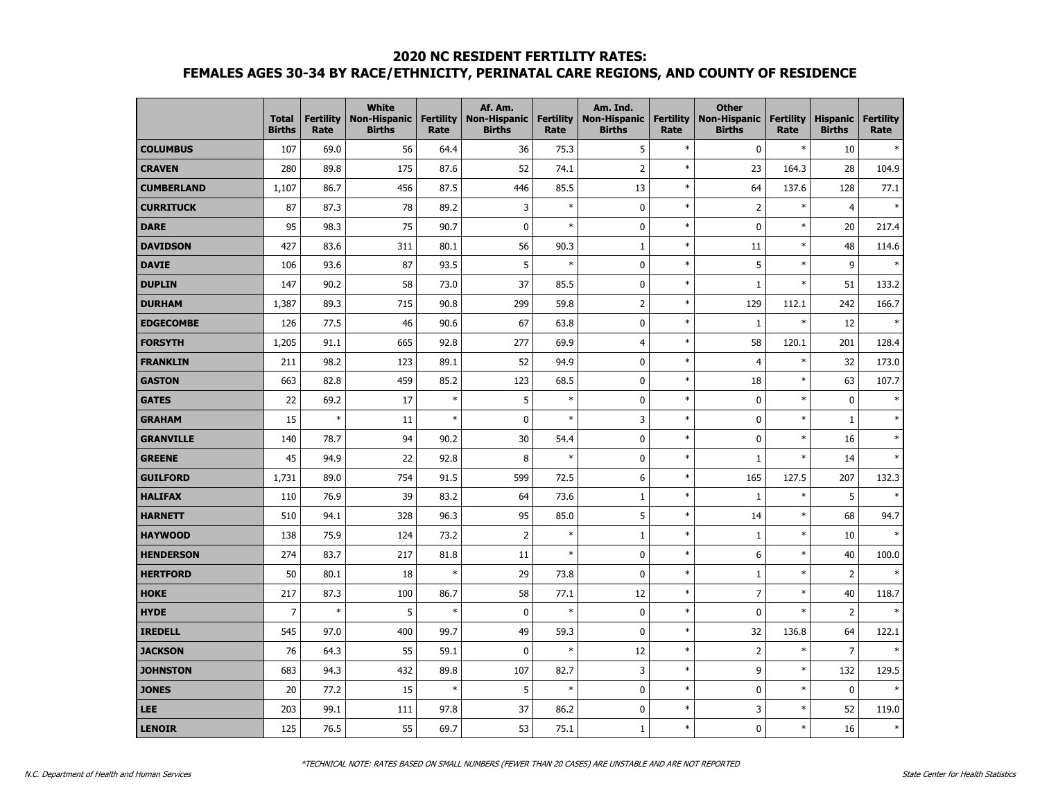## **2020 NC RESIDENT FERTILITY RATES: FEMALES AGES 30-34 BY RACE/ETHNICITY, PERINATAL CARE REGIONS, AND COUNTY OF RESIDENCE**

|                   | <b>Total</b><br><b>Births</b> | <b>Fertility</b><br>Rate | <b>White</b><br><b>Non-Hispanic</b><br><b>Births</b> | <b>Fertility</b><br>Rate | Af. Am.<br><b>Non-Hispanic</b><br><b>Births</b> | <b>Fertility</b><br>Rate | Am. Ind.<br><b>Non-Hispanic</b><br><b>Births</b> | <b>Fertility</b><br>Rate | <b>Other</b><br><b>Non-Hispanic</b><br><b>Births</b> | <b>Fertility</b><br>Rate | <b>Hispanic</b><br><b>Births</b> | <b>Fertility</b><br>Rate |
|-------------------|-------------------------------|--------------------------|------------------------------------------------------|--------------------------|-------------------------------------------------|--------------------------|--------------------------------------------------|--------------------------|------------------------------------------------------|--------------------------|----------------------------------|--------------------------|
| <b>COLUMBUS</b>   | 107                           | 69.0                     | 56                                                   | 64.4                     | 36                                              | 75.3                     | 5                                                | $\ast$                   | 0                                                    | $\ast$                   | 10                               |                          |
| <b>CRAVEN</b>     | 280                           | 89.8                     | 175                                                  | 87.6                     | 52                                              | 74.1                     | $\overline{2}$                                   | $\ast$                   | 23                                                   | 164.3                    | 28                               | 104.9                    |
| <b>CUMBERLAND</b> | 1,107                         | 86.7                     | 456                                                  | 87.5                     | 446                                             | 85.5                     | 13                                               | $\ast$                   | 64                                                   | 137.6                    | 128                              | 77.1                     |
| <b>CURRITUCK</b>  | 87                            | 87.3                     | 78                                                   | 89.2                     | 3                                               | $\ast$                   | $\pmb{0}$                                        | $\ast$                   | $\overline{2}$                                       | $\ast$                   | $\overline{4}$                   | $\overline{\phantom{a}}$ |
| DARE              | 95                            | 98.3                     | 75                                                   | 90.7                     | $\mathbf 0$                                     | $\ast$                   | $\mathbf 0$                                      | $\ast$                   | 0                                                    | $\ast$                   | 20                               | 217.4                    |
| <b>DAVIDSON</b>   | 427                           | 83.6                     | 311                                                  | 80.1                     | 56                                              | 90.3                     | 1                                                | $\ast$                   | 11                                                   | $\ast$                   | 48                               | 114.6                    |
| <b>DAVIE</b>      | 106                           | 93.6                     | 87                                                   | 93.5                     | 5                                               | $\ast$                   | $\mathbf 0$                                      | $\ast$                   | 5                                                    | $\ast$                   | 9                                |                          |
| <b>DUPLIN</b>     | 147                           | 90.2                     | 58                                                   | 73.0                     | 37                                              | 85.5                     | $\mathbf 0$                                      | $\ast$                   | $\mathbf{1}$                                         | $\ast$                   | 51                               | 133.2                    |
| <b>DURHAM</b>     | 1,387                         | 89.3                     | 715                                                  | 90.8                     | 299                                             | 59.8                     | $\overline{2}$                                   | $\ast$                   | 129                                                  | 112.1                    | 242                              | 166.7                    |
| <b>EDGECOMBE</b>  | 126                           | 77.5                     | 46                                                   | 90.6                     | 67                                              | 63.8                     | $\mathbf 0$                                      | $\ast$                   | $1\,$                                                | $\ast$                   | 12                               |                          |
| <b>FORSYTH</b>    | 1,205                         | 91.1                     | 665                                                  | 92.8                     | 277                                             | 69.9                     | $\overline{4}$                                   | $\ast$                   | 58                                                   | 120.1                    | 201                              | 128.4                    |
| <b>FRANKLIN</b>   | 211                           | 98.2                     | 123                                                  | 89.1                     | 52                                              | 94.9                     | $\mathbf 0$                                      | $\ast$                   | $\overline{4}$                                       | $\ast$                   | 32                               | 173.0                    |
| <b>GASTON</b>     | 663                           | 82.8                     | 459                                                  | 85.2                     | 123                                             | 68.5                     | $\mathbf 0$                                      | $\ast$                   | 18                                                   | $\ast$                   | 63                               | 107.7                    |
| <b>GATES</b>      | 22                            | 69.2                     | 17                                                   | $\ast$                   | 5                                               | $\ast$                   | $\mathbf 0$                                      | $\ast$                   | 0                                                    | $\ast$                   | $\mathbf 0$                      |                          |
| <b>GRAHAM</b>     | 15                            | $\ast$                   | 11                                                   | $\ast$                   | 0                                               | $\ast$                   | 3                                                | $\ast$                   | 0                                                    | $\ast$                   | $\mathbf{1}$                     |                          |
| <b>GRANVILLE</b>  | 140                           | 78.7                     | 94                                                   | 90.2                     | 30                                              | 54.4                     | $\pmb{0}$                                        | $\ast$                   | 0                                                    | $\ast$                   | 16                               |                          |
| <b>GREENE</b>     | 45                            | 94.9                     | 22                                                   | 92.8                     | 8                                               | $\ast$                   | $\mathbf 0$                                      | $\ast$                   | $\mathbf 1$                                          | $\ast$                   | 14                               |                          |
| <b>GUILFORD</b>   | 1,731                         | 89.0                     | 754                                                  | 91.5                     | 599                                             | 72.5                     | 6                                                | $\ast$                   | 165                                                  | 127.5                    | 207                              | 132.3                    |
| <b>HALIFAX</b>    | 110                           | 76.9                     | 39                                                   | 83.2                     | 64                                              | 73.6                     | $\mathbf{1}$                                     | $\ast$                   | $\mathbf 1$                                          | $\ast$                   | 5                                | $\ast$                   |
| <b>HARNETT</b>    | 510                           | 94.1                     | 328                                                  | 96.3                     | 95                                              | 85.0                     | 5                                                | $\ast$                   | 14                                                   | $\ast$                   | 68                               | 94.7                     |
| <b>HAYWOOD</b>    | 138                           | 75.9                     | 124                                                  | 73.2                     | $\overline{2}$                                  | $\ast$                   | $\mathbf{1}$                                     | $\ast$                   | $\mathbf{1}$                                         | $\ast$                   | 10                               |                          |
| <b>HENDERSON</b>  | 274                           | 83.7                     | 217                                                  | 81.8                     | 11                                              | $\ast$                   | $\mathbf 0$                                      | $\ast$                   | 6                                                    | $\ast$                   | 40                               | 100.0                    |
| <b>HERTFORD</b>   | 50                            | 80.1                     | 18                                                   | $\ast$                   | 29                                              | 73.8                     | $\mathbf 0$                                      | $\ast$                   | $\mathbf 1$                                          | $\ast$                   | $\overline{2}$                   |                          |
| <b>HOKE</b>       | 217                           | 87.3                     | 100                                                  | 86.7                     | 58                                              | 77.1                     | 12                                               | $\ast$                   | $\overline{7}$                                       | $\ast$                   | 40                               | 118.7                    |
| <b>HYDE</b>       | 7                             | $\ast$                   | 5                                                    | $\ast$                   | 0                                               | $\ast$                   | $\mathbf 0$                                      | $\ast$                   | 0                                                    | $\ast$                   | $\overline{2}$                   |                          |
| <b>IREDELL</b>    | 545                           | 97.0                     | 400                                                  | 99.7                     | 49                                              | 59.3                     | $\mathbf 0$                                      | $\ast$                   | 32                                                   | 136.8                    | 64                               | 122.1                    |
| <b>JACKSON</b>    | 76                            | 64.3                     | 55                                                   | 59.1                     | 0                                               | $\ast$                   | 12                                               | $\ast$                   | $\overline{2}$                                       | $\ast$                   | $\overline{7}$                   | $\ast$                   |
| <b>JOHNSTON</b>   | 683                           | 94.3                     | 432                                                  | 89.8                     | 107                                             | 82.7                     | 3                                                | $\ast$                   | 9                                                    | $\ast$                   | 132                              | 129.5                    |
| <b>JONES</b>      | 20                            | 77.2                     | 15                                                   | $\ast$                   | 5                                               | $\ast$                   | $\pmb{0}$                                        | $\ast$                   | 0                                                    | $\ast$                   | $\mathbf 0$                      |                          |
| LEE               | 203                           | 99.1                     | 111                                                  | 97.8                     | 37                                              | 86.2                     | $\pmb{0}$                                        | $\ast$                   | 3                                                    | $\ast$                   | 52                               | 119.0                    |
| <b>LENOIR</b>     | 125                           | 76.5                     | 55                                                   | 69.7                     | 53                                              | 75.1                     | $\mathbf 1$                                      | $\ast$                   | 0                                                    | $\ast$                   | 16                               | $\ast$                   |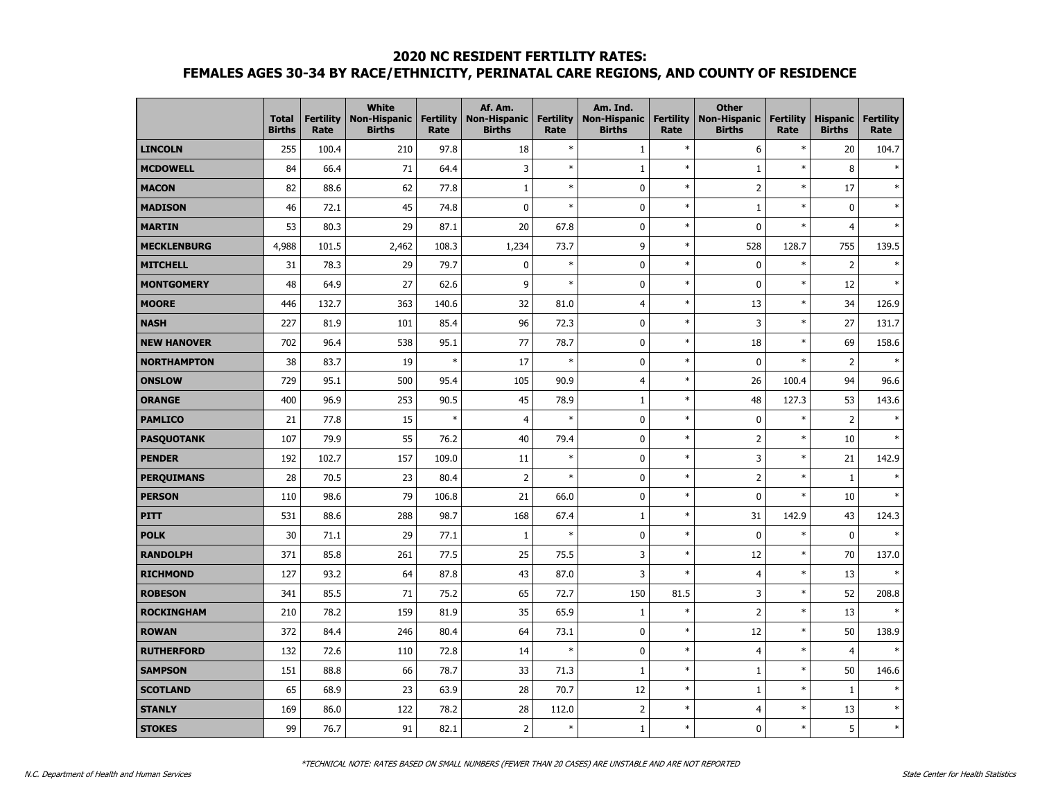### **2020 NC RESIDENT FERTILITY RATES:**

# **FEMALES AGES 30-34 BY RACE/ETHNICITY, PERINATAL CARE REGIONS, AND COUNTY OF RESIDENCE**

|                    | <b>Total</b><br><b>Births</b> | <b>Fertility</b><br>Rate | <b>White</b><br><b>Non-Hispanic</b><br><b>Births</b> | <b>Fertility</b><br>Rate | Af. Am.<br><b>Non-Hispanic</b><br><b>Births</b> | <b>Fertility</b><br>Rate | Am. Ind.<br><b>Non-Hispanic</b><br><b>Births</b> | <b>Fertility</b><br>Rate | <b>Other</b><br><b>Non-Hispanic</b><br><b>Births</b> | <b>Fertility</b><br>Rate | <b>Hispanic</b><br><b>Births</b> | <b>Fertility</b><br>Rate |
|--------------------|-------------------------------|--------------------------|------------------------------------------------------|--------------------------|-------------------------------------------------|--------------------------|--------------------------------------------------|--------------------------|------------------------------------------------------|--------------------------|----------------------------------|--------------------------|
| <b>LINCOLN</b>     | 255                           | 100.4                    | 210                                                  | 97.8                     | 18                                              | $\ast$                   | $1\,$                                            | $\ast$                   | 6                                                    | $\ast$                   | 20                               | 104.7                    |
| <b>MCDOWELL</b>    | 84                            | 66.4                     | 71                                                   | 64.4                     | 3                                               | $\ast$                   | $\mathbf 1$                                      | $\ast$                   | $1\,$                                                | $\ast$                   | 8                                | $\ast$                   |
| <b>MACON</b>       | 82                            | 88.6                     | 62                                                   | 77.8                     | $\mathbf{1}$                                    | $\ast$                   | 0                                                | $\ast$                   | $\overline{2}$                                       | $\ast$                   | 17                               |                          |
| <b>MADISON</b>     | 46                            | 72.1                     | 45                                                   | 74.8                     | 0                                               | $\ast$                   | 0                                                | $\ast$                   | $\mathbf{1}$                                         | $\ast$                   | $\mathbf 0$                      | $\ast$                   |
| <b>MARTIN</b>      | 53                            | 80.3                     | 29                                                   | 87.1                     | 20                                              | 67.8                     | $\mathbf 0$                                      | $\ast$                   | 0                                                    | $\ast$                   | $\overline{4}$                   |                          |
| <b>MECKLENBURG</b> | 4,988                         | 101.5                    | 2,462                                                | 108.3                    | 1,234                                           | 73.7                     | 9                                                | $\ast$                   | 528                                                  | 128.7                    | 755                              | 139.5                    |
| <b>MITCHELL</b>    | 31                            | 78.3                     | 29                                                   | 79.7                     | 0                                               | $\ast$                   | $\mathbf 0$                                      | $\ast$                   | 0                                                    | $\ast$                   | $\overline{2}$                   | $\ast$                   |
| <b>MONTGOMERY</b>  | 48                            | 64.9                     | 27                                                   | 62.6                     | 9                                               | $\ast$                   | 0                                                | $\ast$                   | 0                                                    | $\ast$                   | 12                               | $\ast$                   |
| <b>MOORE</b>       | 446                           | 132.7                    | 363                                                  | 140.6                    | 32                                              | 81.0                     | $\overline{4}$                                   | $\ast$                   | 13                                                   | $\ast$                   | 34                               | 126.9                    |
| <b>NASH</b>        | 227                           | 81.9                     | 101                                                  | 85.4                     | 96                                              | 72.3                     | $\mathbf 0$                                      | $\ast$                   | 3                                                    | $\ast$                   | 27                               | 131.7                    |
| <b>NEW HANOVER</b> | 702                           | 96.4                     | 538                                                  | 95.1                     | 77                                              | 78.7                     | $\mathbf 0$                                      | $\ast$                   | 18                                                   | $\ast$                   | 69                               | 158.6                    |
| <b>NORTHAMPTON</b> | 38                            | 83.7                     | 19                                                   | $\ast$                   | 17                                              | $\ast$                   | 0                                                | $\ast$                   | 0                                                    | $\ast$                   | $\overline{2}$                   |                          |
| <b>ONSLOW</b>      | 729                           | 95.1                     | 500                                                  | 95.4                     | 105                                             | 90.9                     | $\overline{4}$                                   | $\ast$                   | 26                                                   | 100.4                    | 94                               | 96.6                     |
| <b>ORANGE</b>      | 400                           | 96.9                     | 253                                                  | 90.5                     | 45                                              | 78.9                     | $\mathbf{1}$                                     | $\ast$                   | 48                                                   | 127.3                    | 53                               | 143.6                    |
| <b>PAMLICO</b>     | 21                            | 77.8                     | 15                                                   | $\ast$                   | $\overline{4}$                                  | $\ast$                   | $\mathbf 0$                                      | $\ast$                   | 0                                                    | $\ast$                   | $\overline{2}$                   |                          |
| <b>PASQUOTANK</b>  | 107                           | 79.9                     | 55                                                   | 76.2                     | 40                                              | 79.4                     | $\mathbf 0$                                      | $\ast$                   | $\overline{2}$                                       | $\ast$                   | 10                               |                          |
| <b>PENDER</b>      | 192                           | 102.7                    | 157                                                  | 109.0                    | 11                                              | $\ast$                   | 0                                                | $\ast$                   | 3                                                    | $\ast$                   | 21                               | 142.9                    |
| <b>PERQUIMANS</b>  | 28                            | 70.5                     | 23                                                   | 80.4                     | $\overline{2}$                                  | $\ast$                   | $\mathbf 0$                                      | $\ast$                   | $\overline{2}$                                       | $\ast$                   | 1                                | $\ast$                   |
| <b>PERSON</b>      | 110                           | 98.6                     | 79                                                   | 106.8                    | 21                                              | 66.0                     | $\mathbf 0$                                      | $\ast$                   | 0                                                    | $\ast$                   | 10                               |                          |
| <b>PITT</b>        | 531                           | 88.6                     | 288                                                  | 98.7                     | 168                                             | 67.4                     | $\mathbf{1}$                                     | $\ast$                   | 31                                                   | 142.9                    | 43                               | 124.3                    |
| <b>POLK</b>        | 30                            | 71.1                     | 29                                                   | 77.1                     | 1                                               | $\ast$                   | $\mathbf 0$                                      | $\ast$                   | 0                                                    | $\ast$                   | $\mathbf 0$                      |                          |
| <b>RANDOLPH</b>    | 371                           | 85.8                     | 261                                                  | 77.5                     | 25                                              | 75.5                     | 3                                                | $\ast$                   | 12                                                   | $\ast$                   | 70                               | 137.0                    |
| <b>RICHMOND</b>    | 127                           | 93.2                     | 64                                                   | 87.8                     | 43                                              | 87.0                     | 3                                                | $\ast$                   | $\overline{4}$                                       | $\ast$                   | 13                               |                          |
| <b>ROBESON</b>     | 341                           | 85.5                     | 71                                                   | 75.2                     | 65                                              | 72.7                     | 150                                              | 81.5                     | 3                                                    | $\ast$                   | 52                               | 208.8                    |
| <b>ROCKINGHAM</b>  | 210                           | 78.2                     | 159                                                  | 81.9                     | 35                                              | 65.9                     | $1\,$                                            | $\ast$                   | $\overline{2}$                                       | $\ast$                   | 13                               |                          |
| <b>ROWAN</b>       | 372                           | 84.4                     | 246                                                  | 80.4                     | 64                                              | 73.1                     | $\mathbf 0$                                      | $\ast$                   | 12                                                   | $\ast$                   | 50                               | 138.9                    |
| <b>RUTHERFORD</b>  | 132                           | 72.6                     | 110                                                  | 72.8                     | 14                                              | $\ast$                   | $\mathbf 0$                                      | $\ast$                   | $\overline{4}$                                       | $\ast$                   | $\overline{4}$                   |                          |
| <b>SAMPSON</b>     | 151                           | 88.8                     | 66                                                   | 78.7                     | 33                                              | 71.3                     | $1\,$                                            | $\ast$                   | $\mathbf{1}$                                         | $\ast$                   | 50                               | 146.6                    |
| <b>SCOTLAND</b>    | 65                            | 68.9                     | 23                                                   | 63.9                     | 28                                              | 70.7                     | 12                                               | $\ast$                   | $1\,$                                                | $\ast$                   | $\mathbf{1}$                     |                          |
| <b>STANLY</b>      | 169                           | 86.0                     | 122                                                  | 78.2                     | 28                                              | 112.0                    | $\overline{2}$                                   | $\ast$                   | 4                                                    | $\ast$                   | 13                               | $\ast$                   |
| <b>STOKES</b>      | 99                            | 76.7                     | 91                                                   | 82.1                     | $\overline{2}$                                  | $\ast$                   | $\mathbf{1}$                                     | $\ast$                   | 0                                                    | $\ast$                   | 5                                | $\ast$                   |